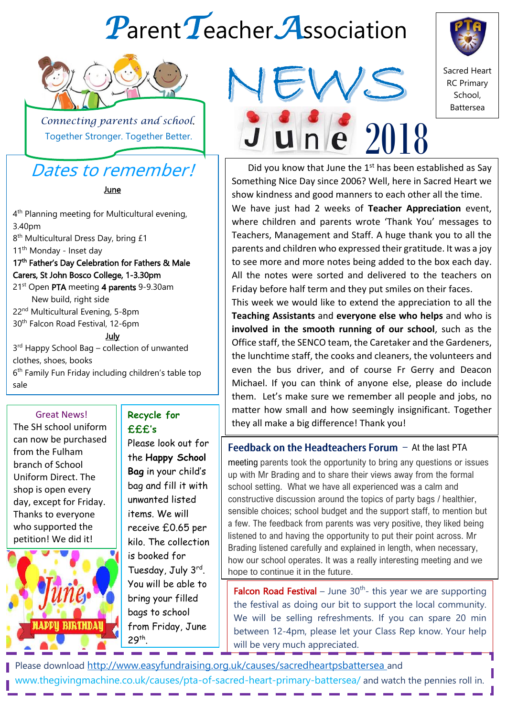# *P*arent*T*eacher*A*ssociation



 $\perp$  *Connecting parents and school*. Together Stronger. Together Better.

## Dates to remember!

**June** 

4<sup>th</sup> Planning meeting for Multicultural evening, 3.40pm

8<sup>th</sup> Multicultural Dress Day, bring £1 11<sup>th</sup> Monday - Inset day

#### 17<sup>th</sup> Father's Day Celebration for Fathers & Male Carers, St John Bosco College, 1-3.30pm

21<sup>st</sup> Open PTA meeting 4 parents 9-9.30am New build, right side

22nd Multicultural Evening, 5-8pm 30th Falcon Road Festival, 12-6pm

July

3<sup>rd</sup> Happy School Bag – collection of unwanted clothes, shoes, books 6<sup>th</sup> Family Fun Friday including children's table top sale

??? - Mosaic Marvels- a family craft weekend

#### **Great News!**

I

Entertaints:<br>The SH school uniform can now be purchased from the Fulham branch of School Uniform Direct. The shop is open every day, except for Friday. Thanks to everyone who supported the petition! We did it!



**Recycle for £££'s**

Please look out for the **Happy School Bag** in your child's bag and fill it with unwanted listed items. We will receive £0.65 per kilo. The collection is booked for Tuesday, July 3rd. You will be able to bring your filled bags to school from Friday, June 29th .





Sacred Heart RC Primary School, Battersea

Did you know that June the  $1<sup>st</sup>$  has been established as Say Something Nice Day since 2006? Well, here in Sacred Heart we show kindness and good manners to each other all the time. We have just had 2 weeks of **Teacher Appreciation** event, where children and parents wrote 'Thank You' messages to Teachers, Management and Staff. A huge thank you to all the parents and children who expressed their gratitude. It was a joy to see more and more notes being added to the box each day. All the notes were sorted and delivered to the teachers on Friday before half term and they put smiles on their faces.

This week we would like to extend the appreciation to all the **Teaching Assistants** and **everyone else who helps** and who is **involved in the smooth running of our school**, such as the Office staff, the SENCO team, the Caretaker and the Gardeners, the lunchtime staff, the cooks and cleaners, the volunteers and even the bus driver, and of course Fr Gerry and Deacon Michael. If you can think of anyone else, please do include them. Let's make sure we remember all people and jobs, no matter how small and how seemingly insignificant. Together they all make a big difference! Thank you!

Feedback on the Headteachers Forum  $-$  At the last PTA meeting parents took the opportunity to bring any questions or issues up with Mr Brading and to share their views away from the formal school setting. What we have all experienced was a calm and constructive discussion around the topics of party bags / healthier, sensible choices; school budget and the support staff, to mention but a few. The feedback from parents was very positive, they liked being listened to and having the opportunity to put their point across. Mr Brading listened carefully and explained in length, when necessary, how our school operates. It was a really interesting meeting and we hope to continue it in the future.

**Falcon Road Festival**  $-$  June 30<sup>th</sup>- this year we are supporting the festival as doing our bit to support the local community. We will be selling refreshments. If you can spare 20 min between 12-4pm, please let your Class Rep know. Your help will be very much appreciated.

Please download <http://www.easyfundraising.org.uk/causes/sacredheartpsbattersea> and www.thegivingmachine.co.uk/causes/pta-of-sacred-heart-primary-battersea/ and watch the pennies roll in.